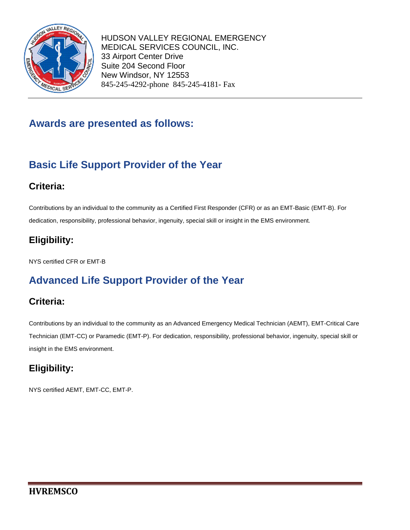

## **Awards are presented as follows:**

# **Basic Life Support Provider of the Year**

### **Criteria:**

Contributions by an individual to the community as a Certified First Responder (CFR) or as an EMT-Basic (EMT-B). For dedication, responsibility, professional behavior, ingenuity, special skill or insight in the EMS environment.

## **Eligibility:**

NYS certified CFR or EMT-B

# **Advanced Life Support Provider of the Year**

### **Criteria:**

Contributions by an individual to the community as an Advanced Emergency Medical Technician (AEMT), EMT-Critical Care Technician (EMT-CC) or Paramedic (EMT-P). For dedication, responsibility, professional behavior, ingenuity, special skill or insight in the EMS environment.

### **Eligibility:**

NYS certified AEMT, EMT-CC, EMT-P.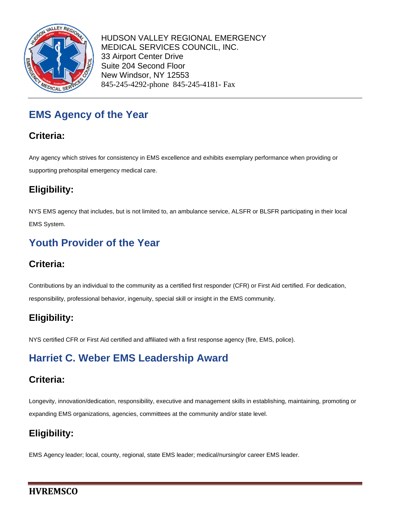

# **EMS Agency of the Year**

### **Criteria:**

Any agency which strives for consistency in EMS excellence and exhibits exemplary performance when providing or supporting prehospital emergency medical care.

## **Eligibility:**

NYS EMS agency that includes, but is not limited to, an ambulance service, ALSFR or BLSFR participating in their local EMS System.

# **Youth Provider of the Year**

### **Criteria:**

Contributions by an individual to the community as a certified first responder (CFR) or First Aid certified. For dedication, responsibility, professional behavior, ingenuity, special skill or insight in the EMS community.

### **Eligibility:**

NYS certified CFR or First Aid certified and affiliated with a first response agency (fire, EMS, police).

# **Harriet C. Weber EMS Leadership Award**

### **Criteria:**

Longevity, innovation/dedication, responsibility, executive and management skills in establishing, maintaining, promoting or expanding EMS organizations, agencies, committees at the community and/or state level.

## **Eligibility:**

EMS Agency leader; local, county, regional, state EMS leader; medical/nursing/or career EMS leader.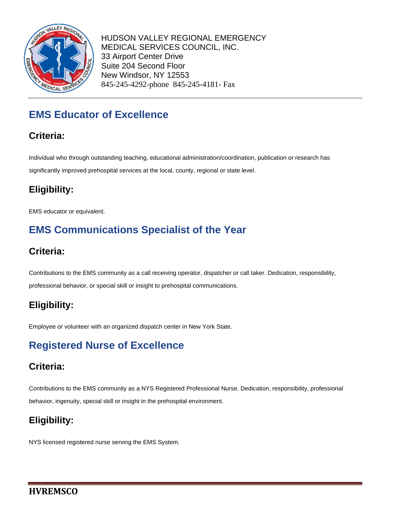

# **EMS Educator of Excellence**

### **Criteria:**

Individual who through outstanding teaching, educational administration/coordination, publication or research has significantly improved prehospital services at the local, county, regional or state level.

## **Eligibility:**

EMS educator or equivalent.

# **EMS Communications Specialist of the Year**

#### **Criteria:**

Contributions to the EMS community as a call receiving operator, dispatcher or call taker. Dedication, responsibility, professional behavior, or special skill or insight to prehospital communications.

### **Eligibility:**

Employee or volunteer with an organized dispatch center in New York State.

# **Registered Nurse of Excellence**

### **Criteria:**

Contributions to the EMS community as a NYS Registered Professional Nurse. Dedication, responsibility, professional behavior, ingenuity, special skill or insight in the prehospital environment.

### **Eligibility:**

NYS licensed registered nurse serving the EMS System.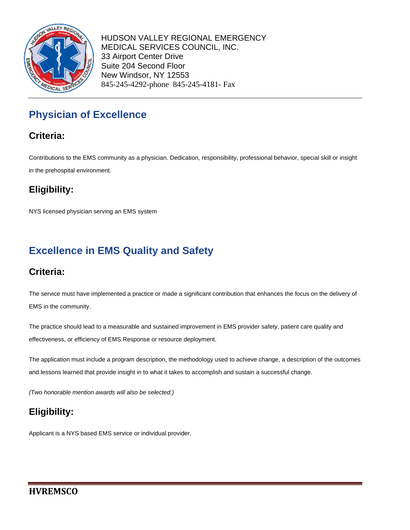

# **Physician of Excellence**

### **Criteria:**

Contributions to the EMS community as a physician. Dedication, responsibility, professional behavior, special skill or insight in the prehospital environment.

## **Eligibility:**

NYS licensed physician serving an EMS system

# **Excellence in EMS Quality and Safety**

### **Criteria:**

The service must have implemented a practice or made a significant contribution that enhances the focus on the delivery of EMS in the community.

The practice should lead to a measurable and sustained improvement in EMS provider safety, patient care quality and effectiveness, or efficiency of EMS Response or resource deployment.

The application must include a program description, the methodology used to achieve change, a description of the outcomes and lessons learned that provide insight in to what it takes to accomplish and sustain a successful change.

*(Two honorable mention awards will also be selected.)*

## **Eligibility:**

Applicant is a NYS based EMS service or individual provider.